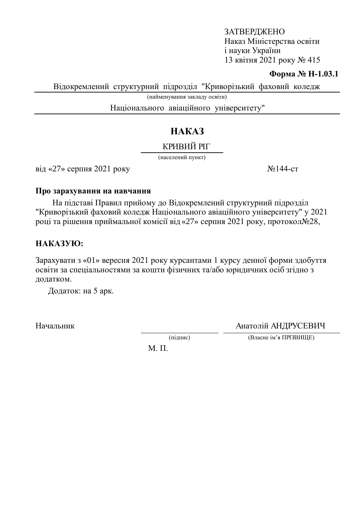### ЗАТВЕРДЖЕНО Наказ Міністерства освіти i науки України 13 квітня 2021 року № 415

### **Форма № Н-1.03.1**

Відокремлений структурний підрозділ "Криворізький фаховий коледж

(найменування закладу освіти)

Національного авіаційного університету"

# HAKA3

## КРИВИЙ РІГ

(населений пункт)

 $\overline{\text{Bi}}$ д «27» серпня 2021 року  $\frac{N_{\text{e}}}{44}$ -ст

#### Про зарахування на навчання

На підставі Правил прийому до Відокремлений структурний підрозділ "Криворізький фаховий коледж Національного авіаційного університету" у 2021 році та рішення приймальної комісії від «27» серпня 2021 року, протокол $\mathcal{N}$ 28,

## HAKA3YIO:

Зарахувати з «01» вересня 2021 року курсантами 1 курсу денної форми здобуття освіти за спеціальностями за кошти фізичних та/або юридичних осіб згідно з додатком.

Додаток: на 5 арк.

Начальник Анатолій АНДРУСЕВИЧ

(підпис) (Власне ім'я ПРІЗВИЩЕ)

 $M$ .  $\Pi$ .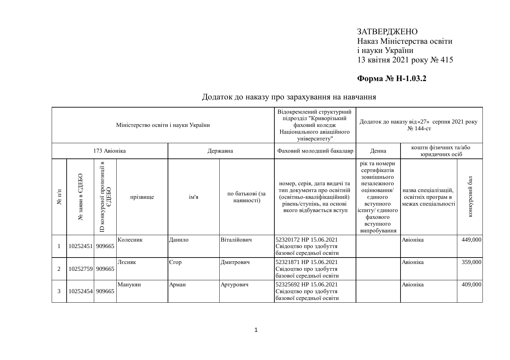### ЗАТВЕРДЖЕНО Наказ Міністерства освіти і науки України 13 квітня 2021 року № 415

## **Форма № Н-1.03.2**

| Міністерство освіти і науки України |                    |                                                                           |          |        |                               | Відокремлений структурний<br>підрозділ "Криворізький<br>фаховий коледж<br>Національного авіаційного<br>університету"                              | Додаток до наказу від «27» серпня 2021 року<br>№ 144-ст                                                                                                        |                                                                   |                |
|-------------------------------------|--------------------|---------------------------------------------------------------------------|----------|--------|-------------------------------|---------------------------------------------------------------------------------------------------------------------------------------------------|----------------------------------------------------------------------------------------------------------------------------------------------------------------|-------------------------------------------------------------------|----------------|
|                                     |                    | 173 Авіоніка                                                              |          |        | Державна                      | Фаховий молодший бакалавр                                                                                                                         | Денна                                                                                                                                                          | кошти фізичних та/або<br>юридичних осіб                           |                |
| $\mathbf{N}$ π/π                    | СДЕБО<br>№ заяви в | $\mathbf{B}$<br>рсної пропозиції в<br>ЄДЕБО<br>конкурсної<br>$\mathbf{D}$ | прізвище | ім'я   | по батькові (за<br>наявності) | номер, серія, дата видачі та<br>тип документа про освітній<br>(освітньо-кваліфікаційний)<br>рівень/ступінь, на основі<br>якого відбувається вступ | рік та номери<br>сертифікатів<br>зовнішнього<br>незалежного<br>оцінювання/<br>єдиного<br>вступного<br>іспиту/ єдиного<br>фахового<br>вступного<br>випробування | назва спеціалізацій,<br>освітніх програм в<br>межах спеціальності | конкурсний бал |
|                                     | 10252451 909665    |                                                                           | Колесник | Данило | Віталійович                   | 52320172 HP 15.06.2021<br>Свідоцтво про здобуття<br>базової середньої освіти                                                                      |                                                                                                                                                                | Авіоніка                                                          | 449,000        |
| $\overline{2}$                      | 10252759 909665    |                                                                           | Лєсняк   | Єгор   | Дмитрович                     | 52321871 HP 15.06.2021<br>Свідоцтво про здобуття<br>базової середньої освіти                                                                      |                                                                                                                                                                | Авіоніка                                                          | 359,000        |
| 3                                   | 10252454 909665    |                                                                           | Манукян  | Арман  | Артурович                     | 52325692 HP 15.06.2021<br>Свідоцтво про здобуття<br>базової середньої освіти                                                                      |                                                                                                                                                                | Авіоніка                                                          | 409,000        |

### Додаток до наказу про зарахування на навчання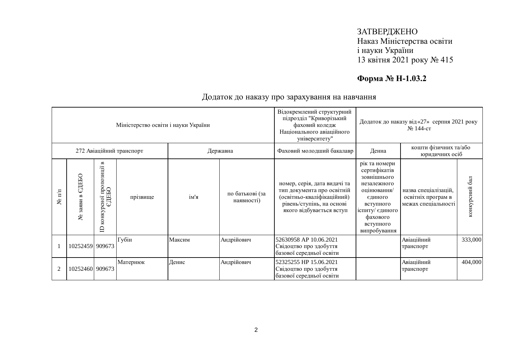### ЗАТВЕРДЖЕНО Наказ Міністерства освіти і науки України 13 квітня 2021 року № 415

## **Форма № Н-1.03.2**

|                                      |                     |                                                                              | Міністерство освіти і науки України |        |                               | Відокремлений структурний<br>підрозділ "Криворізький<br>фаховий коледж<br>Національного авіаційного<br>університету"                              | Додаток до наказу від «27» серпня 2021 року<br>№ 144-ст                                                                                                        |                                                                   |                |
|--------------------------------------|---------------------|------------------------------------------------------------------------------|-------------------------------------|--------|-------------------------------|---------------------------------------------------------------------------------------------------------------------------------------------------|----------------------------------------------------------------------------------------------------------------------------------------------------------------|-------------------------------------------------------------------|----------------|
| 272 Авіаційний транспорт<br>Державна |                     |                                                                              |                                     |        |                               | Фаховий молодший бакалавр                                                                                                                         | Денна                                                                                                                                                          | кошти фізичних та/або<br>юридичних осіб                           |                |
| $\mathbb{I}^{\text{m}}$<br>হ         | СДЕБО<br>заяви<br>٤ | $\blacksquare$<br><sub>р</sub> сно1 пропозиції в<br>ЄДЕБО<br>конкурсної<br>≘ | прізвище                            | ім'я   | по батькові (за<br>наявності) | номер, серія, дата видачі та<br>тип документа про освітній<br>(освітньо-кваліфікаційний)<br>рівень/ступінь, на основі<br>якого відбувається вступ | рік та номери<br>сертифікатів<br>зовнішнього<br>незалежного<br>оцінювання/<br>єдиного<br>вступного<br>іспиту/ єдиного<br>фахового<br>вступного<br>випробування | назва спеціалізацій,<br>освітніх програм в<br>межах спеціальності | конкурсний бал |
|                                      | 10252459 909673     |                                                                              | Губін                               | Максим | Андрійович                    | 52630958 AP 10.06.2021<br>Свідоцтво про здобуття<br>базової середньої освіти                                                                      |                                                                                                                                                                | Авіаційний<br>транспорт                                           | 333,000        |
| $\overline{2}$                       | 10252460 909673     |                                                                              | Матернюк                            | Денис  | Андрійович                    | 52325255 HP 15.06.2021<br>Свідоцтво про здобуття<br>базової середньої освіти                                                                      |                                                                                                                                                                | Авіаційний<br>транспорт                                           | 404,000        |

### Додаток до наказу про зарахування на навчання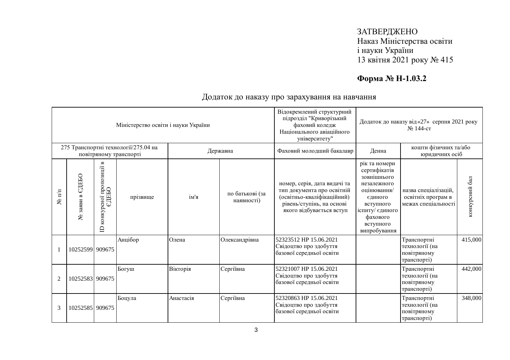### ЗАТВЕРДЖЕНО Наказ Міністерства освіти і науки України 13 квітня 2021 року № 415

## **Форма № Н-1.03.2**

|                                                                |                    |                                                 | Міністерство освіти і науки України |           |                               | Відокремлений структурний<br>підрозділ "Криворізький<br>фаховий коледж<br>Національного авіаційного<br>університету"                              | Додаток до наказу від «27» серпня 2021 року<br>№ 144-ст                                                                                                        |                                                                   |                |
|----------------------------------------------------------------|--------------------|-------------------------------------------------|-------------------------------------|-----------|-------------------------------|---------------------------------------------------------------------------------------------------------------------------------------------------|----------------------------------------------------------------------------------------------------------------------------------------------------------------|-------------------------------------------------------------------|----------------|
| 275 Транспортні технології/275.04 на<br>повітряному транспорті |                    |                                                 |                                     |           | Державна                      | Фаховий молодший бакалавр                                                                                                                         | Денна                                                                                                                                                          | кошти фізичних та/або<br>юридичних осіб                           |                |
| $N$ <sup>2</sup> π/π                                           | ЄДЕБО<br>№ заяви в | конкурсної пропозиції в<br>СДЕБО<br>$\triangle$ | прізвище                            | ім'я      | по батькові (за<br>наявності) | номер, серія, дата видачі та<br>тип документа про освітній<br>(освітньо-кваліфікаційний)<br>рівень/ступінь, на основі<br>якого відбувається вступ | рік та номери<br>сертифікатів<br>зовнішнього<br>незалежного<br>оцінювання/<br>єдиного<br>вступного<br>іспиту/ єдиного<br>фахового<br>вступного<br>випробування | назва спеціалізацій,<br>освітніх програм в<br>межах спеціальності | конкурсний бал |
|                                                                | 10252599 909675    |                                                 | Анцібор                             | Олена     | Олександрівна                 | 52323512 HP 15.06.2021<br>Свідоцтво про здобуття<br>базової середньої освіти                                                                      |                                                                                                                                                                | Транспортні<br>технології (на<br>повітряному<br>транспорті)       | 415,000        |
| $\overline{2}$                                                 | 10252583 909675    |                                                 | Богуш                               | Вікторія  | Сергіївна                     | 52321007 HP 15.06.2021<br>Свідоцтво про здобуття<br>базової середньої освіти                                                                      |                                                                                                                                                                | Транспортні<br>технології (на<br>повітряному<br>транспорті)       | 442,000        |
| 3                                                              | 10252585 909675    |                                                 | Боцула                              | Анастасія | Сергіївна                     | 52320863 HP 15.06.2021<br>Свідоцтво про здобуття<br>базової середньої освіти                                                                      |                                                                                                                                                                | Транспортні<br>технології (на<br>повітряному<br>транспорті)       | 348,000        |

Додаток до наказу про зарахування на навчання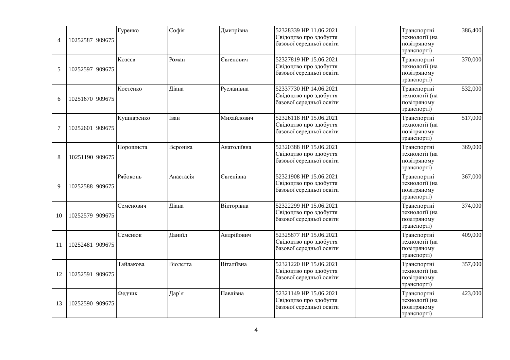| $\overline{4}$ | 10252587 909675 | Гуренко    | Софія     | Дмитрівна   | 52328339 HP 11.06.2021<br>Свідоцтво про здобуття<br>базової середньої освіти | Транспортні<br>технології (на<br>повітряному<br>транспорті) | 386,400 |
|----------------|-----------------|------------|-----------|-------------|------------------------------------------------------------------------------|-------------------------------------------------------------|---------|
| 5              | 10252597 909675 | Козеєв     | Роман     | Євгенович   | 52327819 HP 15.06.2021<br>Свідоцтво про здобуття<br>базової середньої освіти | Транспортні<br>технології (на<br>повітряному<br>транспорті) | 370,000 |
| 6              | 10251670 909675 | Костенко   | Діана     | Русланівна  | 52337730 HP 14.06.2021<br>Свідоцтво про здобуття<br>базової середньої освіти | Транспортні<br>технології (на<br>повітряному<br>транспорті) | 532,000 |
| $\overline{7}$ | 10252601 909675 | Кушнаренко | Іван      | Михайлович  | 52326118 HP 15.06.2021<br>Свідоцтво про здобуття<br>базової середньої освіти | Транспортні<br>технології (на<br>повітряному<br>транспорті) | 517,000 |
| 8              | 10251190 909675 | Порошиста  | Вероніка  | Анатоліївна | 52320388 HP 15.06.2021<br>Свідоцтво про здобуття<br>базової середньої освіти | Транспортні<br>технології (на<br>повітряному<br>транспорті) | 369,000 |
| 9              | 10252588 909675 | Рябоконь   | Анастасія | Євгенівна   | 52321908 HP 15.06.2021<br>Свідоцтво про здобуття<br>базової середньої освіти | Транспортні<br>технології (на<br>повітряному<br>транспорті) | 367,000 |
| 10             | 10252579 909675 | Семенович  | Діана     | Вікторівна  | 52322299 HP 15.06.2021<br>Свідоцтво про здобуття<br>базової середньої освіти | Транспортні<br>технології (на<br>повітряному<br>транспорті) | 374,000 |
| 11             | 10252481 909675 | Семенюк    | Даниїл    | Андрійович  | 52325877 HP 15.06.2021<br>Свідоцтво про здобуття<br>базової середньої освіти | Транспортні<br>технології (на<br>повітряному<br>транспорті) | 409,000 |
| 12             | 10252591 909675 | Тайлакова  | Віолетта  | Віталіївна  | 52321220 HP 15.06.2021<br>Свідоцтво про здобуття<br>базової середньої освіти | Транспортні<br>технології (на<br>повітряному<br>транспорті) | 357,000 |
| 13             | 10252590 909675 | Федчик     | Дар`я     | Павлівна    | 52321149 HP 15.06.2021<br>Свідоцтво про здобуття<br>базової середньої освіти | Транспортні<br>технології (на<br>повітряному<br>транспорті) | 423,000 |